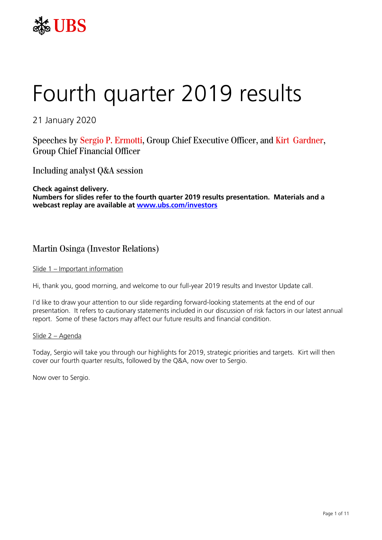

# Fourth quarter 2019 results

21 January 2020

Speeches by Sergio P. Ermotti, Group Chief Executive Officer, and Kirt Gardner, Group Chief Financial Officer

Including analyst Q&A session

**Check against delivery. Numbers for slides refer to the fourth quarter 2019 results presentation. Materials and a webcast replay are available at [www.ubs.com/investors](http://www.ubs.com/investors)**

# Martin Osinga (Investor Relations)

#### Slide 1 – Important information

Hi, thank you, good morning, and welcome to our full-year 2019 results and Investor Update call.

I'd like to draw your attention to our slide regarding forward-looking statements at the end of our presentation. It refers to cautionary statements included in our discussion of risk factors in our latest annual report. Some of these factors may affect our future results and financial condition.

#### Slide 2 – Agenda

Today, Sergio will take you through our highlights for 2019, strategic priorities and targets. Kirt will then cover our fourth quarter results, followed by the Q&A, now over to Sergio.

Now over to Sergio.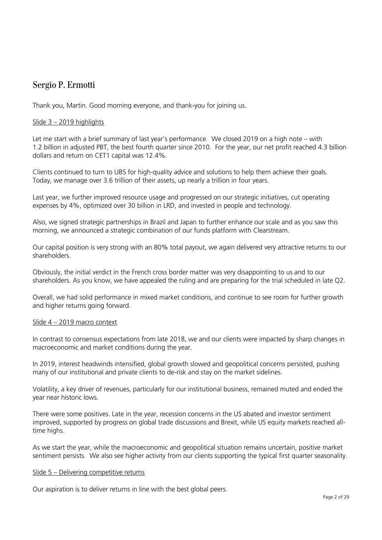# Sergio P. Ermotti

Thank you, Martin. Good morning everyone, and thank-you for joining us.

# Slide 3 – 2019 highlights

Let me start with a brief summary of last year's performance. We closed 2019 on a high note – with 1.2 billion in adjusted PBT, the best fourth quarter since 2010. For the year, our net profit reached 4.3 billion dollars and return on CET1 capital was 12.4%.

Clients continued to turn to UBS for high-quality advice and solutions to help them achieve their goals. Today, we manage over 3.6 trillion of their assets, up nearly a trillion in four years.

Last year, we further improved resource usage and progressed on our strategic initiatives, cut operating expenses by 4%, optimized over 30 billion in LRD, and invested in people and technology.

Also, we signed strategic partnerships in Brazil and Japan to further enhance our scale and as you saw this morning, we announced a strategic combination of our funds platform with Clearstream.

Our capital position is very strong with an 80% total payout, we again delivered very attractive returns to our shareholders.

Obviously, the initial verdict in the French cross border matter was very disappointing to us and to our shareholders. As you know, we have appealed the ruling and are preparing for the trial scheduled in late Q2.

Overall, we had solid performance in mixed market conditions, and continue to see room for further growth and higher returns going forward.

#### Slide 4 – 2019 macro context

In contrast to consensus expectations from late 2018, we and our clients were impacted by sharp changes in macroeconomic and market conditions during the year.

In 2019, interest headwinds intensified, global growth slowed and geopolitical concerns persisted, pushing many of our institutional and private clients to de-risk and stay on the market sidelines.

Volatility, a key driver of revenues, particularly for our institutional business, remained muted and ended the year near historic lows.

There were some positives. Late in the year, recession concerns in the US abated and investor sentiment improved, supported by progress on global trade discussions and Brexit, while US equity markets reached alltime highs.

As we start the year, while the macroeconomic and geopolitical situation remains uncertain, positive market sentiment persists. We also see higher activity from our clients supporting the typical first quarter seasonality.

#### Slide 5 – Delivering competitive returns

Our aspiration is to deliver returns in line with the best global peers.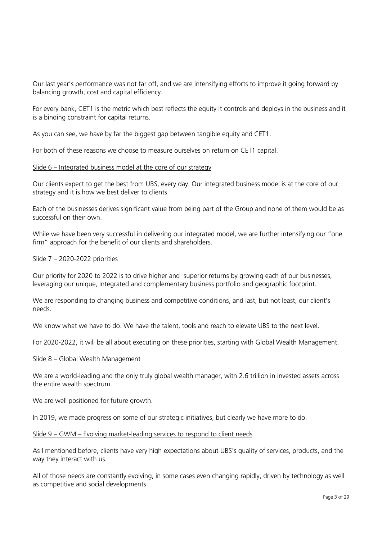Our last year's performance was not far off, and we are intensifying efforts to improve it going forward by balancing growth, cost and capital efficiency.

For every bank, CET1 is the metric which best reflects the equity it controls and deploys in the business and it is a binding constraint for capital returns.

As you can see, we have by far the biggest gap between tangible equity and CET1.

For both of these reasons we choose to measure ourselves on return on CET1 capital.

#### Slide 6 – Integrated business model at the core of our strategy

Our clients expect to get the best from UBS, every day. Our integrated business model is at the core of our strategy and it is how we best deliver to clients.

Each of the businesses derives significant value from being part of the Group and none of them would be as successful on their own.

While we have been very successful in delivering our integrated model, we are further intensifying our "one firm" approach for the benefit of our clients and shareholders.

#### Slide 7 – 2020-2022 priorities

Our priority for 2020 to 2022 is to drive higher and superior returns by growing each of our businesses, leveraging our unique, integrated and complementary business portfolio and geographic footprint.

We are responding to changing business and competitive conditions, and last, but not least, our client's needs.

We know what we have to do. We have the talent, tools and reach to elevate UBS to the next level.

For 2020-2022, it will be all about executing on these priorities, starting with Global Wealth Management.

#### Slide 8 – Global Wealth Management

We are a world-leading and the only truly global wealth manager, with 2.6 trillion in invested assets across the entire wealth spectrum.

We are well positioned for future growth.

In 2019, we made progress on some of our strategic initiatives, but clearly we have more to do.

#### Slide 9 – GWM – Evolving market-leading services to respond to client needs

As I mentioned before, clients have very high expectations about UBS's quality of services, products, and the way they interact with us.

All of those needs are constantly evolving, in some cases even changing rapidly, driven by technology as well as competitive and social developments.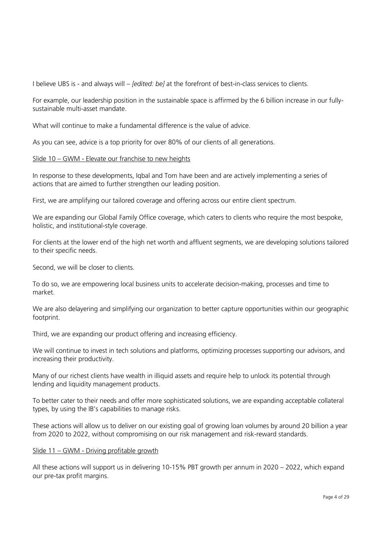I believe UBS is - and always will – *[edited: be]* at the forefront of best-in-class services to clients.

For example, our leadership position in the sustainable space is affirmed by the 6 billion increase in our fullysustainable multi-asset mandate.

What will continue to make a fundamental difference is the value of advice.

As you can see, advice is a top priority for over 80% of our clients of all generations.

#### Slide 10 – GWM - Elevate our franchise to new heights

In response to these developments, Iqbal and Tom have been and are actively implementing a series of actions that are aimed to further strengthen our leading position.

First, we are amplifying our tailored coverage and offering across our entire client spectrum.

We are expanding our Global Family Office coverage, which caters to clients who require the most bespoke, holistic, and institutional-style coverage.

For clients at the lower end of the high net worth and affluent segments, we are developing solutions tailored to their specific needs.

Second, we will be closer to clients.

To do so, we are empowering local business units to accelerate decision-making, processes and time to market.

We are also delayering and simplifying our organization to better capture opportunities within our geographic footprint.

Third, we are expanding our product offering and increasing efficiency.

We will continue to invest in tech solutions and platforms, optimizing processes supporting our advisors, and increasing their productivity.

Many of our richest clients have wealth in illiquid assets and require help to unlock its potential through lending and liquidity management products.

To better cater to their needs and offer more sophisticated solutions, we are expanding acceptable collateral types, by using the IB's capabilities to manage risks.

These actions will allow us to deliver on our existing goal of growing loan volumes by around 20 billion a year from 2020 to 2022, without compromising on our risk management and risk-reward standards.

#### Slide 11 – GWM - Driving profitable growth

All these actions will support us in delivering 10-15% PBT growth per annum in 2020 – 2022, which expand our pre-tax profit margins.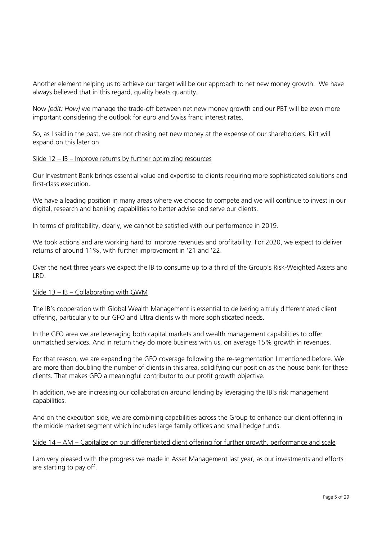Another element helping us to achieve our target will be our approach to net new money growth. We have always believed that in this regard, quality beats quantity.

Now *[edit: How]* we manage the trade-off between net new money growth and our PBT will be even more important considering the outlook for euro and Swiss franc interest rates.

So, as I said in the past, we are not chasing net new money at the expense of our shareholders. Kirt will expand on this later on.

#### Slide 12 – IB – Improve returns by further optimizing resources

Our Investment Bank brings essential value and expertise to clients requiring more sophisticated solutions and first-class execution.

We have a leading position in many areas where we choose to compete and we will continue to invest in our digital, research and banking capabilities to better advise and serve our clients.

In terms of profitability, clearly, we cannot be satisfied with our performance in 2019.

We took actions and are working hard to improve revenues and profitability. For 2020, we expect to deliver returns of around 11%, with further improvement in '21 and '22.

Over the next three years we expect the IB to consume up to a third of the Group's Risk-Weighted Assets and LRD.

#### Slide 13 – IB – Collaborating with GWM

The IB's cooperation with Global Wealth Management is essential to delivering a truly differentiated client offering, particularly to our GFO and Ultra clients with more sophisticated needs.

In the GFO area we are leveraging both capital markets and wealth management capabilities to offer unmatched services. And in return they do more business with us, on average 15% growth in revenues.

For that reason, we are expanding the GFO coverage following the re-segmentation I mentioned before. We are more than doubling the number of clients in this area, solidifying our position as the house bank for these clients. That makes GFO a meaningful contributor to our profit growth objective.

In addition, we are increasing our collaboration around lending by leveraging the IB's risk management capabilities.

And on the execution side, we are combining capabilities across the Group to enhance our client offering in the middle market segment which includes large family offices and small hedge funds.

#### Slide 14 – AM – Capitalize on our differentiated client offering for further growth, performance and scale

I am very pleased with the progress we made in Asset Management last year, as our investments and efforts are starting to pay off.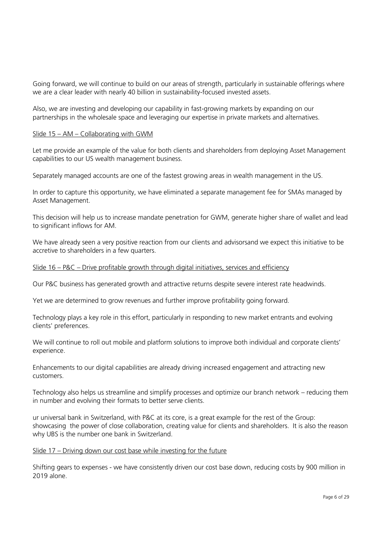Going forward, we will continue to build on our areas of strength, particularly in sustainable offerings where we are a clear leader with nearly 40 billion in sustainability-focused invested assets.

Also, we are investing and developing our capability in fast-growing markets by expanding on our partnerships in the wholesale space and leveraging our expertise in private markets and alternatives.

#### Slide 15 – AM – Collaborating with GWM

Let me provide an example of the value for both clients and shareholders from deploying Asset Management capabilities to our US wealth management business.

Separately managed accounts are one of the fastest growing areas in wealth management in the US.

In order to capture this opportunity, we have eliminated a separate management fee for SMAs managed by Asset Management.

This decision will help us to increase mandate penetration for GWM, generate higher share of wallet and lead to significant inflows for AM.

We have already seen a very positive reaction from our clients and advisorsand we expect this initiative to be accretive to shareholders in a few quarters.

#### Slide 16 – P&C – Drive profitable growth through digital initiatives, services and efficiency

Our P&C business has generated growth and attractive returns despite severe interest rate headwinds.

Yet we are determined to grow revenues and further improve profitability going forward.

Technology plays a key role in this effort, particularly in responding to new market entrants and evolving clients' preferences.

We will continue to roll out mobile and platform solutions to improve both individual and corporate clients' experience.

Enhancements to our digital capabilities are already driving increased engagement and attracting new customers.

Technology also helps us streamline and simplify processes and optimize our branch network – reducing them in number and evolving their formats to better serve clients.

ur universal bank in Switzerland, with P&C at its core, is a great example for the rest of the Group: showcasing the power of close collaboration, creating value for clients and shareholders. It is also the reason why UBS is the number one bank in Switzerland.

#### Slide 17 – Driving down our cost base while investing for the future

Shifting gears to expenses - we have consistently driven our cost base down, reducing costs by 900 million in 2019 alone.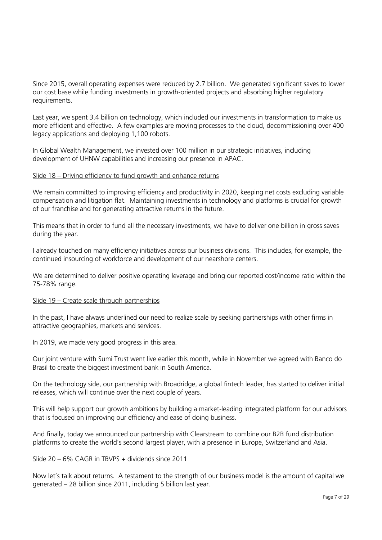Since 2015, overall operating expenses were reduced by 2.7 billion. We generated significant saves to lower our cost base while funding investments in growth-oriented projects and absorbing higher regulatory requirements.

Last year, we spent 3.4 billion on technology, which included our investments in transformation to make us more efficient and effective. A few examples are moving processes to the cloud, decommissioning over 400 legacy applications and deploying 1,100 robots.

In Global Wealth Management, we invested over 100 million in our strategic initiatives, including development of UHNW capabilities and increasing our presence in APAC.

#### Slide 18 – Driving efficiency to fund growth and enhance returns

We remain committed to improving efficiency and productivity in 2020, keeping net costs excluding variable compensation and litigation flat. Maintaining investments in technology and platforms is crucial for growth of our franchise and for generating attractive returns in the future.

This means that in order to fund all the necessary investments, we have to deliver one billion in gross saves during the year.

I already touched on many efficiency initiatives across our business divisions. This includes, for example, the continued insourcing of workforce and development of our nearshore centers.

We are determined to deliver positive operating leverage and bring our reported cost/income ratio within the 75-78% range.

#### Slide 19 – Create scale through partnerships

In the past, I have always underlined our need to realize scale by seeking partnerships with other firms in attractive geographies, markets and services.

In 2019, we made very good progress in this area.

Our joint venture with Sumi Trust went live earlier this month, while in November we agreed with Banco do Brasil to create the biggest investment bank in South America.

On the technology side, our partnership with Broadridge, a global fintech leader, has started to deliver initial releases, which will continue over the next couple of years.

This will help support our growth ambitions by building a market-leading integrated platform for our advisors that is focused on improving our efficiency and ease of doing business.

And finally, today we announced our partnership with Clearstream to combine our B2B fund distribution platforms to create the world's second largest player, with a presence in Europe, Switzerland and Asia.

#### Slide 20 – 6% CAGR in TBVPS + dividends since 2011

Now let's talk about returns. A testament to the strength of our business model is the amount of capital we generated – 28 billion since 2011, including 5 billion last year.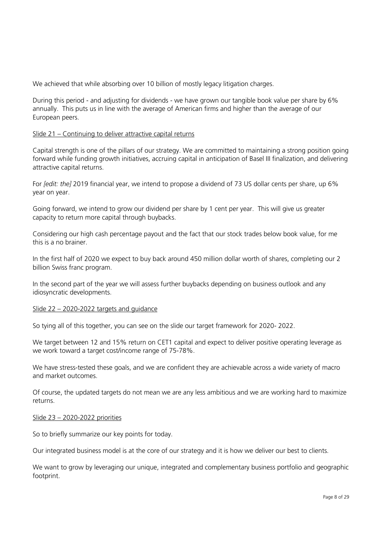We achieved that while absorbing over 10 billion of mostly legacy litigation charges.

During this period - and adjusting for dividends - we have grown our tangible book value per share by 6% annually. This puts us in line with the average of American firms and higher than the average of our European peers.

#### Slide 21 – Continuing to deliver attractive capital returns

Capital strength is one of the pillars of our strategy. We are committed to maintaining a strong position going forward while funding growth initiatives, accruing capital in anticipation of Basel III finalization, and delivering attractive capital returns.

For *[edit: the]* 2019 financial year, we intend to propose a dividend of 73 US dollar cents per share, up 6% year on year.

Going forward, we intend to grow our dividend per share by 1 cent per year. This will give us greater capacity to return more capital through buybacks.

Considering our high cash percentage payout and the fact that our stock trades below book value, for me this is a no brainer.

In the first half of 2020 we expect to buy back around 450 million dollar worth of shares, completing our 2 billion Swiss franc program.

In the second part of the year we will assess further buybacks depending on business outlook and any idiosyncratic developments.

#### Slide 22 – 2020-2022 targets and guidance

So tying all of this together, you can see on the slide our target framework for 2020- 2022.

We target between 12 and 15% return on CET1 capital and expect to deliver positive operating leverage as we work toward a target cost/income range of 75-78%.

We have stress-tested these goals, and we are confident they are achievable across a wide variety of macro and market outcomes.

Of course, the updated targets do not mean we are any less ambitious and we are working hard to maximize returns.

#### Slide 23 – 2020-2022 priorities

So to briefly summarize our key points for today.

Our integrated business model is at the core of our strategy and it is how we deliver our best to clients.

We want to grow by leveraging our unique, integrated and complementary business portfolio and geographic footprint.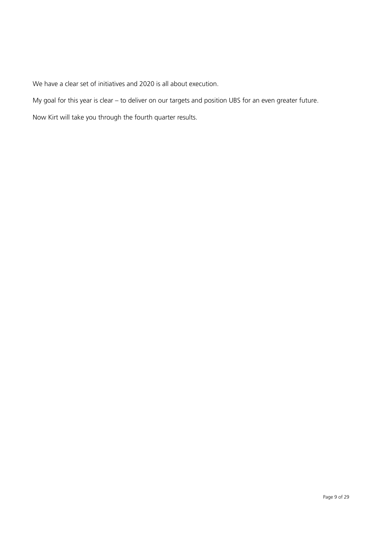We have a clear set of initiatives and 2020 is all about execution.

My goal for this year is clear – to deliver on our targets and position UBS for an even greater future.

Now Kirt will take you through the fourth quarter results.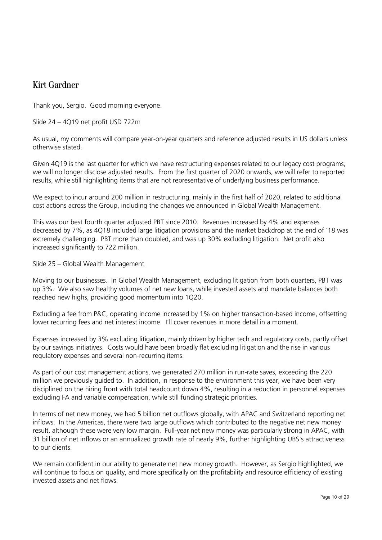# Kirt Gardner

Thank you, Sergio. Good morning everyone.

#### Slide 24 – 4Q19 net profit USD 722m

As usual, my comments will compare year-on-year quarters and reference adjusted results in US dollars unless otherwise stated.

Given 4Q19 is the last quarter for which we have restructuring expenses related to our legacy cost programs, we will no longer disclose adjusted results. From the first quarter of 2020 onwards, we will refer to reported results, while still highlighting items that are not representative of underlying business performance.

We expect to incur around 200 million in restructuring, mainly in the first half of 2020, related to additional cost actions across the Group, including the changes we announced in Global Wealth Management.

This was our best fourth quarter adjusted PBT since 2010. Revenues increased by 4% and expenses decreased by 7%, as 4Q18 included large litigation provisions and the market backdrop at the end of '18 was extremely challenging. PBT more than doubled, and was up 30% excluding litigation. Net profit also increased significantly to 722 million.

#### Slide 25 – Global Wealth Management

Moving to our businesses. In Global Wealth Management, excluding litigation from both quarters, PBT was up 3%. We also saw healthy volumes of net new loans, while invested assets and mandate balances both reached new highs, providing good momentum into 1Q20.

Excluding a fee from P&C, operating income increased by 1% on higher transaction-based income, offsetting lower recurring fees and net interest income. I'll cover revenues in more detail in a moment.

Expenses increased by 3% excluding litigation, mainly driven by higher tech and regulatory costs, partly offset by our savings initiatives. Costs would have been broadly flat excluding litigation and the rise in various regulatory expenses and several non-recurring items.

As part of our cost management actions, we generated 270 million in run-rate saves, exceeding the 220 million we previously guided to. In addition, in response to the environment this year, we have been very disciplined on the hiring front with total headcount down 4%, resulting in a reduction in personnel expenses excluding FA and variable compensation, while still funding strategic priorities.

In terms of net new money, we had 5 billion net outflows globally, with APAC and Switzerland reporting net inflows. In the Americas, there were two large outflows which contributed to the negative net new money result, although these were very low margin. Full-year net new money was particularly strong in APAC, with 31 billion of net inflows or an annualized growth rate of nearly 9%, further highlighting UBS's attractiveness to our clients.

We remain confident in our ability to generate net new money growth. However, as Sergio highlighted, we will continue to focus on quality, and more specifically on the profitability and resource efficiency of existing invested assets and net flows.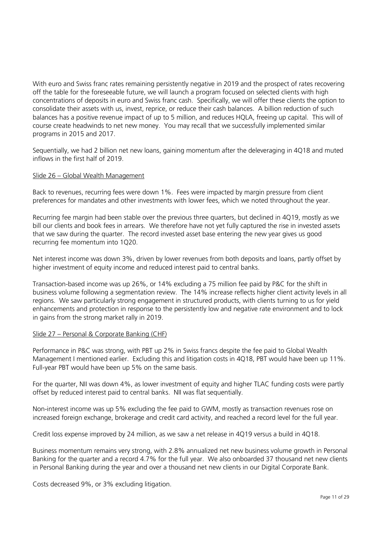With euro and Swiss franc rates remaining persistently negative in 2019 and the prospect of rates recovering off the table for the foreseeable future, we will launch a program focused on selected clients with high concentrations of deposits in euro and Swiss franc cash. Specifically, we will offer these clients the option to consolidate their assets with us, invest, reprice, or reduce their cash balances. A billion reduction of such balances has a positive revenue impact of up to 5 million, and reduces HQLA, freeing up capital. This will of course create headwinds to net new money. You may recall that we successfully implemented similar programs in 2015 and 2017.

Sequentially, we had 2 billion net new loans, gaining momentum after the deleveraging in 4Q18 and muted inflows in the first half of 2019.

# Slide 26 – Global Wealth Management

Back to revenues, recurring fees were down 1%. Fees were impacted by margin pressure from client preferences for mandates and other investments with lower fees, which we noted throughout the year.

Recurring fee margin had been stable over the previous three quarters, but declined in 4Q19, mostly as we bill our clients and book fees in arrears. We therefore have not yet fully captured the rise in invested assets that we saw during the quarter. The record invested asset base entering the new year gives us good recurring fee momentum into 1Q20.

Net interest income was down 3%, driven by lower revenues from both deposits and loans, partly offset by higher investment of equity income and reduced interest paid to central banks.

Transaction-based income was up 26%, or 14% excluding a 75 million fee paid by P&C for the shift in business volume following a segmentation review. The 14% increase reflects higher client activity levels in all regions. We saw particularly strong engagement in structured products, with clients turning to us for yield enhancements and protection in response to the persistently low and negative rate environment and to lock in gains from the strong market rally in 2019.

# Slide 27 – Personal & Corporate Banking (CHF)

Performance in P&C was strong, with PBT up 2% in Swiss francs despite the fee paid to Global Wealth Management I mentioned earlier. Excluding this and litigation costs in 4Q18, PBT would have been up 11%. Full-year PBT would have been up 5% on the same basis.

For the quarter, NII was down 4%, as lower investment of equity and higher TLAC funding costs were partly offset by reduced interest paid to central banks. NII was flat sequentially.

Non-interest income was up 5% excluding the fee paid to GWM, mostly as transaction revenues rose on increased foreign exchange, brokerage and credit card activity, and reached a record level for the full year.

Credit loss expense improved by 24 million, as we saw a net release in 4Q19 versus a build in 4Q18.

Business momentum remains very strong, with 2.8% annualized net new business volume growth in Personal Banking for the quarter and a record 4.7% for the full year. We also onboarded 37 thousand net new clients in Personal Banking during the year and over a thousand net new clients in our Digital Corporate Bank.

Costs decreased 9%, or 3% excluding litigation.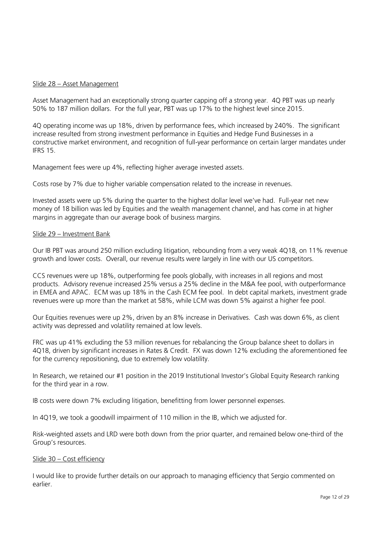#### Slide 28 – Asset Management

Asset Management had an exceptionally strong quarter capping off a strong year. 4Q PBT was up nearly 50% to 187 million dollars. For the full year, PBT was up 17% to the highest level since 2015.

4Q operating income was up 18%, driven by performance fees, which increased by 240%. The significant increase resulted from strong investment performance in Equities and Hedge Fund Businesses in a constructive market environment, and recognition of full-year performance on certain larger mandates under IFRS 15.

Management fees were up 4%, reflecting higher average invested assets.

Costs rose by 7% due to higher variable compensation related to the increase in revenues.

Invested assets were up 5% during the quarter to the highest dollar level we've had. Full-year net new money of 18 billion was led by Equities and the wealth management channel, and has come in at higher margins in aggregate than our average book of business margins.

#### Slide 29 – Investment Bank

Our IB PBT was around 250 million excluding litigation, rebounding from a very weak 4Q18, on 11% revenue growth and lower costs. Overall, our revenue results were largely in line with our US competitors.

CCS revenues were up 18%, outperforming fee pools globally, with increases in all regions and most products. Advisory revenue increased 25% versus a 25% decline in the M&A fee pool, with outperformance in EMEA and APAC. ECM was up 18% in the Cash ECM fee pool. In debt capital markets, investment grade revenues were up more than the market at 58%, while LCM was down 5% against a higher fee pool.

Our Equities revenues were up 2%, driven by an 8% increase in Derivatives. Cash was down 6%, as client activity was depressed and volatility remained at low levels.

FRC was up 41% excluding the 53 million revenues for rebalancing the Group balance sheet to dollars in 4Q18, driven by significant increases in Rates & Credit. FX was down 12% excluding the aforementioned fee for the currency repositioning, due to extremely low volatility.

In Research, we retained our #1 position in the 2019 Institutional Investor's Global Equity Research ranking for the third year in a row.

IB costs were down 7% excluding litigation, benefitting from lower personnel expenses.

In 4Q19, we took a goodwill impairment of 110 million in the IB, which we adjusted for.

Risk-weighted assets and LRD were both down from the prior quarter, and remained below one-third of the Group's resources.

#### Slide 30 – Cost efficiency

I would like to provide further details on our approach to managing efficiency that Sergio commented on earlier.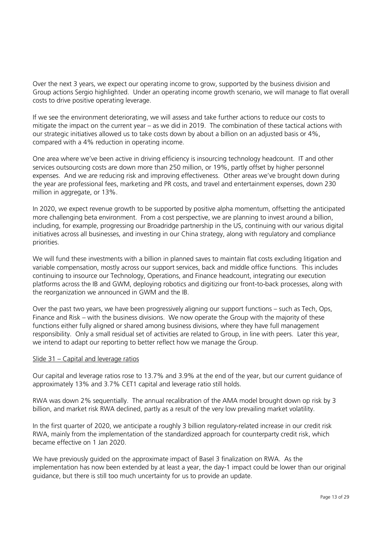Over the next 3 years, we expect our operating income to grow, supported by the business division and Group actions Sergio highlighted. Under an operating income growth scenario, we will manage to flat overall costs to drive positive operating leverage.

If we see the environment deteriorating, we will assess and take further actions to reduce our costs to mitigate the impact on the current year – as we did in 2019. The combination of these tactical actions with our strategic initiatives allowed us to take costs down by about a billion on an adjusted basis or 4%, compared with a 4% reduction in operating income.

One area where we've been active in driving efficiency is insourcing technology headcount. IT and other services outsourcing costs are down more than 250 million, or 19%, partly offset by higher personnel expenses. And we are reducing risk and improving effectiveness. Other areas we've brought down during the year are professional fees, marketing and PR costs, and travel and entertainment expenses, down 230 million in aggregate, or 13%.

In 2020, we expect revenue growth to be supported by positive alpha momentum, offsetting the anticipated more challenging beta environment. From a cost perspective, we are planning to invest around a billion, including, for example, progressing our Broadridge partnership in the US, continuing with our various digital initiatives across all businesses, and investing in our China strategy, along with regulatory and compliance priorities.

We will fund these investments with a billion in planned saves to maintain flat costs excluding litigation and variable compensation, mostly across our support services, back and middle office functions. This includes continuing to insource our Technology, Operations, and Finance headcount, integrating our execution platforms across the IB and GWM, deploying robotics and digitizing our front-to-back processes, along with the reorganization we announced in GWM and the IB.

Over the past two years, we have been progressively aligning our support functions – such as Tech, Ops, Finance and Risk – with the business divisions. We now operate the Group with the majority of these functions either fully aligned or shared among business divisions, where they have full management responsibility. Only a small residual set of activities are related to Group, in line with peers. Later this year, we intend to adapt our reporting to better reflect how we manage the Group.

#### Slide 31 – Capital and leverage ratios

Our capital and leverage ratios rose to 13.7% and 3.9% at the end of the year, but our current guidance of approximately 13% and 3.7% CET1 capital and leverage ratio still holds.

RWA was down 2% sequentially. The annual recalibration of the AMA model brought down op risk by 3 billion, and market risk RWA declined, partly as a result of the very low prevailing market volatility.

In the first quarter of 2020, we anticipate a roughly 3 billion regulatory-related increase in our credit risk RWA, mainly from the implementation of the standardized approach for counterparty credit risk, which became effective on 1 Jan 2020.

We have previously guided on the approximate impact of Basel 3 finalization on RWA. As the implementation has now been extended by at least a year, the day-1 impact could be lower than our original guidance, but there is still too much uncertainty for us to provide an update.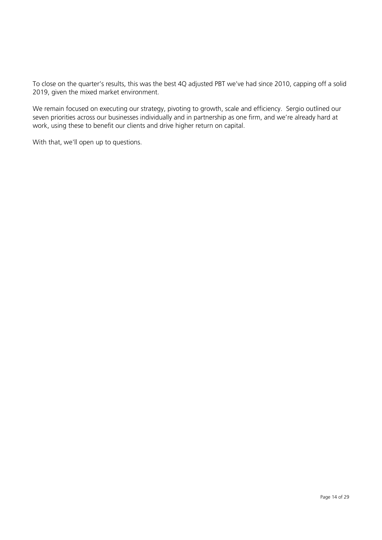To close on the quarter's results, this was the best 4Q adjusted PBT we've had since 2010, capping off a solid 2019, given the mixed market environment.

We remain focused on executing our strategy, pivoting to growth, scale and efficiency. Sergio outlined our seven priorities across our businesses individually and in partnership as one firm, and we're already hard at work, using these to benefit our clients and drive higher return on capital.

With that, we'll open up to questions.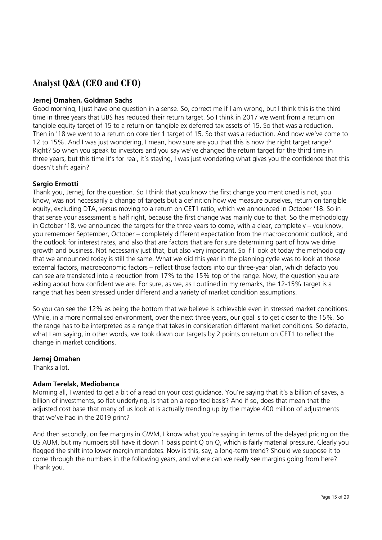# **Analyst Q&A (CEO and CFO)**

# **Jernej Omahen, Goldman Sachs**

Good morning, I just have one question in a sense. So, correct me if I am wrong, but I think this is the third time in three years that UBS has reduced their return target. So I think in 2017 we went from a return on tangible equity target of 15 to a return on tangible ex deferred tax assets of 15. So that was a reduction. Then in '18 we went to a return on core tier 1 target of 15. So that was a reduction. And now we've come to 12 to 15%. And I was just wondering, I mean, how sure are you that this is now the right target range? Right? So when you speak to investors and you say we've changed the return target for the third time in three years, but this time it's for real, it's staying, I was just wondering what gives you the confidence that this doesn't shift again?

# **Sergio Ermotti**

Thank you, Jernej, for the question. So I think that you know the first change you mentioned is not, you know, was not necessarily a change of targets but a definition how we measure ourselves, return on tangible equity, excluding DTA, versus moving to a return on CET1 ratio, which we announced in October '18. So in that sense your assessment is half right, because the first change was mainly due to that. So the methodology in October '18, we announced the targets for the three years to come, with a clear, completely – you know, you remember September, October – completely different expectation from the macroeconomic outlook, and the outlook for interest rates, and also that are factors that are for sure determining part of how we drive growth and business. Not necessarily just that, but also very important. So if I look at today the methodology that we announced today is still the same. What we did this year in the planning cycle was to look at those external factors, macroeconomic factors – reflect those factors into our three-year plan, which defacto you can see are translated into a reduction from 17% to the 15% top of the range. Now, the question you are asking about how confident we are. For sure, as we, as I outlined in my remarks, the 12-15% target is a range that has been stressed under different and a variety of market condition assumptions.

So you can see the 12% as being the bottom that we believe is achievable even in stressed market conditions. While, in a more normalised environment, over the next three years, our goal is to get closer to the 15%. So the range has to be interpreted as a range that takes in consideration different market conditions. So defacto, what I am saying, in other words, we took down our targets by 2 points on return on CET1 to reflect the change in market conditions.

#### **Jernej Omahen**

Thanks a lot.

# **Adam Terelak, Mediobanca**

Morning all, I wanted to get a bit of a read on your cost guidance. You're saying that it's a billion of saves, a billion of investments, so flat underlying. Is that on a reported basis? And if so, does that mean that the adjusted cost base that many of us look at is actually trending up by the maybe 400 million of adjustments that we've had in the 2019 print?

And then secondly, on fee margins in GWM, I know what you're saying in terms of the delayed pricing on the US AUM, but my numbers still have it down 1 basis point Q on Q, which is fairly material pressure. Clearly you flagged the shift into lower margin mandates. Now is this, say, a long-term trend? Should we suppose it to come through the numbers in the following years, and where can we really see margins going from here? Thank you.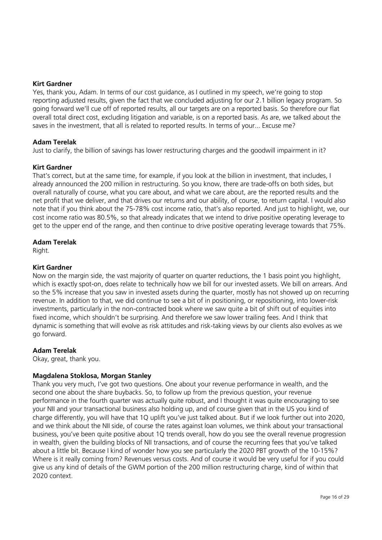#### **Kirt Gardner**

Yes, thank you, Adam. In terms of our cost guidance, as I outlined in my speech, we're going to stop reporting adjusted results, given the fact that we concluded adjusting for our 2.1 billion legacy program. So going forward we'll cue off of reported results, all our targets are on a reported basis. So therefore our flat overall total direct cost, excluding litigation and variable, is on a reported basis. As are, we talked about the saves in the investment, that all is related to reported results. In terms of your... Excuse me?

# **Adam Terelak**

Just to clarify, the billion of savings has lower restructuring charges and the goodwill impairment in it?

# **Kirt Gardner**

That's correct, but at the same time, for example, if you look at the billion in investment, that includes, I already announced the 200 million in restructuring. So you know, there are trade-offs on both sides, but overall naturally of course, what you care about, and what we care about, are the reported results and the net profit that we deliver, and that drives our returns and our ability, of course, to return capital. I would also note that if you think about the 75-78% cost income ratio, that's also reported. And just to highlight, we, our cost income ratio was 80.5%, so that already indicates that we intend to drive positive operating leverage to get to the upper end of the range, and then continue to drive positive operating leverage towards that 75%.

# **Adam Terelak**

Right

# **Kirt Gardner**

Now on the margin side, the vast majority of quarter on quarter reductions, the 1 basis point you highlight, which is exactly spot-on, does relate to technically how we bill for our invested assets. We bill on arrears. And so the 5% increase that you saw in invested assets during the quarter, mostly has not showed up on recurring revenue. In addition to that, we did continue to see a bit of in positioning, or repositioning, into lower-risk investments, particularly in the non-contracted book where we saw quite a bit of shift out of equities into fixed income, which shouldn't be surprising. And therefore we saw lower trailing fees. And I think that dynamic is something that will evolve as risk attitudes and risk-taking views by our clients also evolves as we go forward.

#### **Adam Terelak**

Okay, great, thank you.

# **Magdalena Stoklosa, Morgan Stanley**

Thank you very much, I've got two questions. One about your revenue performance in wealth, and the second one about the share buybacks. So, to follow up from the previous question, your revenue performance in the fourth quarter was actually quite robust, and I thought it was quite encouraging to see your NII and your transactional business also holding up, and of course given that in the US you kind of charge differently, you will have that 1Q uplift you've just talked about. But if we look further out into 2020, and we think about the NII side, of course the rates against loan volumes, we think about your transactional business, you've been quite positive about 1Q trends overall, how do you see the overall revenue progression in wealth, given the building blocks of NII transactions, and of course the recurring fees that you've talked about a little bit. Because I kind of wonder how you see particularly the 2020 PBT growth of the 10-15%? Where is it really coming from? Revenues versus costs. And of course it would be very useful for if you could give us any kind of details of the GWM portion of the 200 million restructuring charge, kind of within that 2020 context.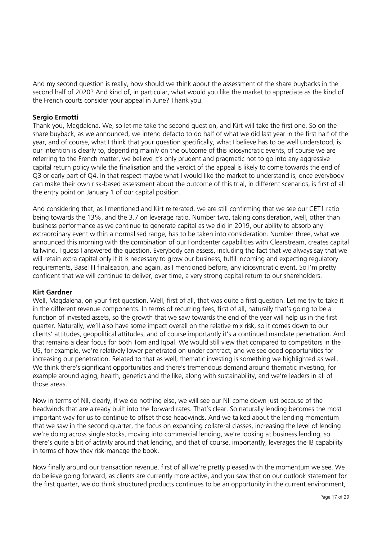And my second question is really, how should we think about the assessment of the share buybacks in the second half of 2020? And kind of, in particular, what would you like the market to appreciate as the kind of the French courts consider your appeal in June? Thank you.

# **Sergio Ermotti**

Thank you, Magdalena. We, so let me take the second question, and Kirt will take the first one. So on the share buyback, as we announced, we intend defacto to do half of what we did last year in the first half of the year, and of course, what I think that your question specifically, what I believe has to be well understood, is our intention is clearly to, depending mainly on the outcome of this idiosyncratic events, of course we are referring to the French matter, we believe it's only prudent and pragmatic not to go into any aggressive capital return policy while the finalisation and the verdict of the appeal is likely to come towards the end of Q3 or early part of Q4. In that respect maybe what I would like the market to understand is, once everybody can make their own risk-based assessment about the outcome of this trial, in different scenarios, is first of all the entry point on January 1 of our capital position.

And considering that, as I mentioned and Kirt reiterated, we are still confirming that we see our CET1 ratio being towards the 13%, and the 3.7 on leverage ratio. Number two, taking consideration, well, other than business performance as we continue to generate capital as we did in 2019, our ability to absorb any extraordinary event within a normalised range, has to be taken into consideration. Number three, what we announced this morning with the combination of our Fondcenter capabilities with Clearstream, creates capital tailwind. I guess I answered the question. Everybody can assess, including the fact that we always say that we will retain extra capital only if it is necessary to grow our business, fulfil incoming and expecting regulatory requirements, Basel III finalisation, and again, as I mentioned before, any idiosyncratic event. So I'm pretty confident that we will continue to deliver, over time, a very strong capital return to our shareholders.

#### **Kirt Gardner**

Well, Magdalena, on your first question. Well, first of all, that was quite a first question. Let me try to take it in the different revenue components. In terms of recurring fees, first of all, naturally that's going to be a function of invested assets, so the growth that we saw towards the end of the year will help us in the first quarter. Naturally, we'll also have some impact overall on the relative mix risk, so it comes down to our clients' attitudes, geopolitical attitudes, and of course importantly it's a continued mandate penetration. And that remains a clear focus for both Tom and Iqbal. We would still view that compared to competitors in the US, for example, we're relatively lower penetrated on under contract, and we see good opportunities for increasing our penetration. Related to that as well, thematic investing is something we highlighted as well. We think there's significant opportunities and there's tremendous demand around thematic investing, for example around aging, health, genetics and the like, along with sustainability, and we're leaders in all of those areas.

Now in terms of NII, clearly, if we do nothing else, we will see our NII come down just because of the headwinds that are already built into the forward rates. That's clear. So naturally lending becomes the most important way for us to continue to offset those headwinds. And we talked about the lending momentum that we saw in the second quarter, the focus on expanding collateral classes, increasing the level of lending we're doing across single stocks, moving into commercial lending, we're looking at business lending, so there's quite a bit of activity around that lending, and that of course, importantly, leverages the IB capability in terms of how they risk-manage the book.

Now finally around our transaction revenue, first of all we're pretty pleased with the momentum we see. We do believe going forward, as clients are currently more active, and you saw that on our outlook statement for the first quarter, we do think structured products continues to be an opportunity in the current environment,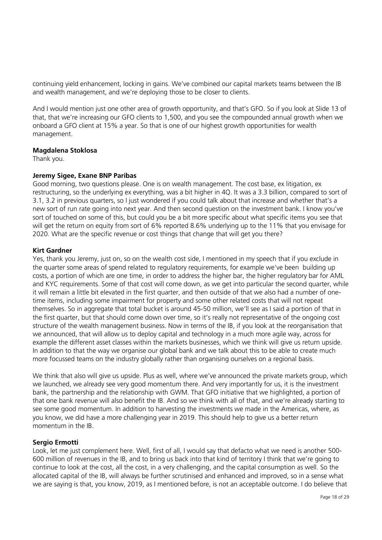continuing yield enhancement, locking in gains. We've combined our capital markets teams between the IB and wealth management, and we're deploying those to be closer to clients.

And I would mention just one other area of growth opportunity, and that's GFO. So if you look at Slide 13 of that, that we're increasing our GFO clients to 1,500, and you see the compounded annual growth when we onboard a GFO client at 15% a year. So that is one of our highest growth opportunities for wealth management.

#### **Magdalena Stoklosa**

Thank you.

#### **Jeremy Sigee, Exane BNP Paribas**

Good morning, two questions please. One is on wealth management. The cost base, ex litigation, ex restructuring, so the underlying ex everything, was a bit higher in 4Q. It was a 3.3 billion, compared to sort of 3.1, 3.2 in previous quarters, so I just wondered if you could talk about that increase and whether that's a new sort of run rate going into next year. And then second question on the investment bank. I know you've sort of touched on some of this, but could you be a bit more specific about what specific items you see that will get the return on equity from sort of 6% reported 8.6% underlying up to the 11% that you envisage for 2020. What are the specific revenue or cost things that change that will get you there?

#### **Kirt Gardner**

Yes, thank you Jeremy, just on, so on the wealth cost side, I mentioned in my speech that if you exclude in the quarter some areas of spend related to regulatory requirements, for example we've been building up costs, a portion of which are one time, in order to address the higher bar, the higher regulatory bar for AML and KYC requirements. Some of that cost will come down, as we get into particular the second quarter, while it will remain a little bit elevated in the first quarter, and then outside of that we also had a number of onetime items, including some impairment for property and some other related costs that will not repeat themselves. So in aggregate that total bucket is around 45-50 million, we'll see as I said a portion of that in the first quarter, but that should come down over time, so it's really not representative of the ongoing cost structure of the wealth management business. Now in terms of the IB, if you look at the reorganisation that we announced, that will allow us to deploy capital and technology in a much more agile way, across for example the different asset classes within the markets businesses, which we think will give us return upside. In addition to that the way we organise our global bank and we talk about this to be able to create much more focussed teams on the industry globally rather than organising ourselves on a regional basis.

We think that also will give us upside. Plus as well, where we've announced the private markets group, which we launched, we already see very good momentum there. And very importantly for us, it is the investment bank, the partnership and the relationship with GWM. That GFO initiative that we highlighted, a portion of that one bank revenue will also benefit the IB. And so we think with all of that, and we're already starting to see some good momentum. In addition to harvesting the investments we made in the Americas, where, as you know, we did have a more challenging year in 2019. This should help to give us a better return momentum in the IB.

#### **Sergio Ermotti**

Look, let me just complement here. Well, first of all, I would say that defacto what we need is another 500- 600 million of revenues in the IB, and to bring us back into that kind of territory I think that we're going to continue to look at the cost, all the cost, in a very challenging, and the capital consumption as well. So the allocated capital of the IB, will always be further scrutinised and enhanced and improved, so in a sense what we are saying is that, you know, 2019, as I mentioned before, is not an acceptable outcome. I do believe that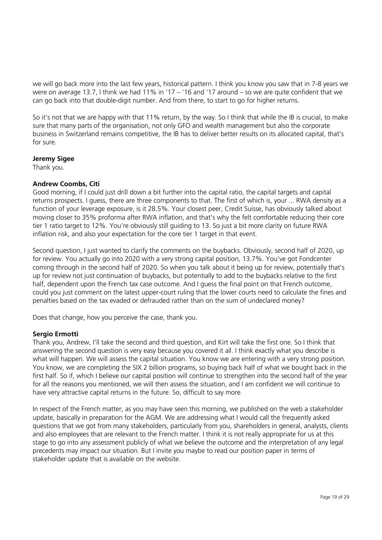we will go back more into the last few years, historical pattern. I think you know you saw that in 7-8 years we were on average 13.7, I think we had 11% in '17 – '16 and '17 around – so we are quite confident that we can go back into that double-digit number. And from there, to start to go for higher returns.

So it's not that we are happy with that 11% return, by the way. So I think that while the IB is crucial, to make sure that many parts of the organisation, not only GFO and wealth management but also the corporate business in Switzerland remains competitive, the IB has to deliver better results on its allocated capital, that's for sure.

# **Jeremy Sigee**

Thank you.

# **Andrew Coombs, Citi**

Good morning, if I could just drill down a bit further into the capital ratio, the capital targets and capital returns prospects. I guess, there are three components to that. The first of which is, your ... RWA density as a function of your leverage exposure, is it 28.5%. Your closest peer, Credit Suisse, has obviously talked about moving closer to 35% proforma after RWA inflation, and that's why the felt comfortable reducing their core tier 1 ratio target to 12%. You're obviously still guiding to 13. So just a bit more clarity on future RWA inflation risk, and also your expectation for the core tier 1 target in that event.

Second question, I just wanted to clarify the comments on the buybacks. Obviously, second half of 2020, up for review. You actually go into 2020 with a very strong capital position, 13.7%. You've got Fondcenter coming through in the second half of 2020. So when you talk about it being up for review, potentially that's up for review not just continuation of buybacks, but potentially to add to the buybacks relative to the first half, dependent upon the French tax case outcome. And I guess the final point on that French outcome, could you just comment on the latest upper-court ruling that the lower courts need to calculate the fines and penalties based on the tax evaded or defrauded rather than on the sum of undeclared money?

Does that change, how you perceive the case, thank you.

#### **Sergio Ermotti**

Thank you, Andrew, I'll take the second and third question, and Kirt will take the first one. So I think that answering the second question is very easy because you covered it all. I think exactly what you describe is what will happen. We will assess the capital situation. You know we are entering with a very strong position. You know, we are completing the SIX 2 billion programs, so buying back half of what we bought back in the first half. So if, which I believe our capital position will continue to strengthen into the second half of the year for all the reasons you mentioned, we will then assess the situation, and I am confident we will continue to have very attractive capital returns in the future. So, difficult to say more.

In respect of the French matter, as you may have seen this morning, we published on the web a stakeholder update, basically in preparation for the AGM. We are addressing what I would call the frequently asked questions that we got from many stakeholders, particularly from you, shareholders in general, analysts, clients and also employees that are relevant to the French matter. I think it is not really appropriate for us at this stage to go into any assessment publicly of what we believe the outcome and the interpretation of any legal precedents may impact our situation. But I invite you maybe to read our position paper in terms of stakeholder update that is available on the website.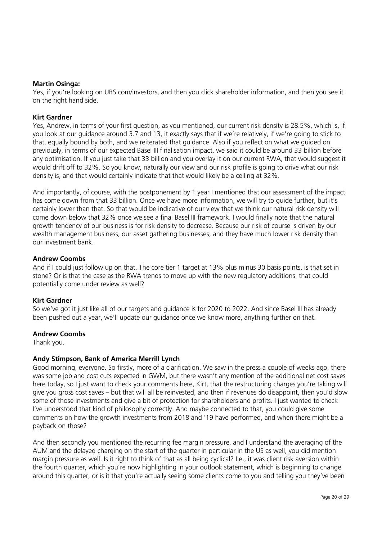#### **Martin Osinga:**

Yes, if you're looking on UBS.com/investors, and then you click shareholder information, and then you see it on the right hand side.

# **Kirt Gardner**

Yes, Andrew, in terms of your first question, as you mentioned, our current risk density is 28.5%, which is, if you look at our guidance around 3.7 and 13, it exactly says that if we're relatively, if we're going to stick to that, equally bound by both, and we reiterated that guidance. Also if you reflect on what we guided on previously, in terms of our expected Basel III finalisation impact, we said it could be around 33 billion before any optimisation. If you just take that 33 billion and you overlay it on our current RWA, that would suggest it would drift off to 32%. So you know, naturally our view and our risk profile is going to drive what our risk density is, and that would certainly indicate that that would likely be a ceiling at 32%.

And importantly, of course, with the postponement by 1 year I mentioned that our assessment of the impact has come down from that 33 billion. Once we have more information, we will try to guide further, but it's certainly lower than that. So that would be indicative of our view that we think our natural risk density will come down below that 32% once we see a final Basel III framework. I would finally note that the natural growth tendency of our business is for risk density to decrease. Because our risk of course is driven by our wealth management business, our asset gathering businesses, and they have much lower risk density than our investment bank.

# **Andrew Coombs**

And if I could just follow up on that. The core tier 1 target at 13% plus minus 30 basis points, is that set in stone? Or is that the case as the RWA trends to move up with the new regulatory additions that could potentially come under review as well?

#### **Kirt Gardner**

So we've got it just like all of our targets and guidance is for 2020 to 2022. And since Basel III has already been pushed out a year, we'll update our guidance once we know more, anything further on that.

# **Andrew Coombs**

Thank you.

# **Andy Stimpson, Bank of America Merrill Lynch**

Good morning, everyone. So firstly, more of a clarification. We saw in the press a couple of weeks ago, there was some job and cost cuts expected in GWM, but there wasn't any mention of the additional net cost saves here today, so I just want to check your comments here, Kirt, that the restructuring charges you're taking will give you gross cost saves – but that will all be reinvested, and then if revenues do disappoint, then you'd slow some of those investments and give a bit of protection for shareholders and profits. I just wanted to check I've understood that kind of philosophy correctly. And maybe connected to that, you could give some comments on how the growth investments from 2018 and '19 have performed, and when there might be a payback on those?

And then secondly you mentioned the recurring fee margin pressure, and I understand the averaging of the AUM and the delayed charging on the start of the quarter in particular in the US as well, you did mention margin pressure as well. Is it right to think of that as all being cyclical? I.e., it was client risk aversion within the fourth quarter, which you're now highlighting in your outlook statement, which is beginning to change around this quarter, or is it that you're actually seeing some clients come to you and telling you they've been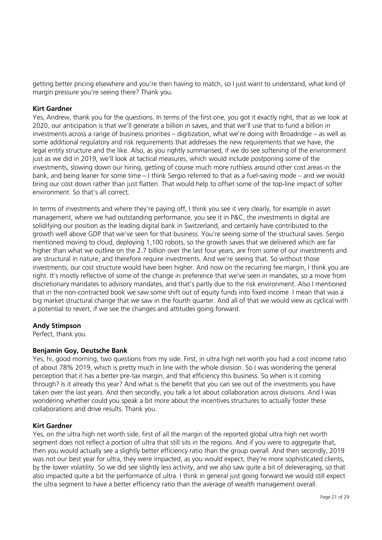getting better pricing elsewhere and you're then having to match, so I just want to understand, what kind of margin pressure you're seeing there? Thank you.

# **Kirt Gardner**

Yes, Andrew, thank you for the questions. In terms of the first one, you got it exactly right, that as we look at 2020, our anticipation is that we'll generate a billion in saves, and that we'll use that to fund a billion in investments across a range of business priorities – digitization, what we're doing with Broadridge – as well as some additional regulatory and risk requirements that addresses the new requirements that we have, the legal entity structure and the like. Also, as you rightly summarised, if we do see softening of the environment just as we did in 2019, we'll look at tactical measures, which would include postponing some of the investments, slowing down our hiring, getting of course much more ruthless around other cost areas in the bank, and being leaner for some time – I think Sergio referred to that as a fuel-saving mode – and we would bring our cost down rather than just flatten. That would help to offset some of the top-line impact of softer environment. So that's all correct.

In terms of investments and where they're paying off, I think you see it very clearly, for example in asset management, where we had outstanding performance, you see it in P&C, the investments in digital are solidifying our position as the leading digital bank in Switzerland, and certainly have contributed to the growth well above GDP that we've seen for that business. You're seeing some of the structural saves. Sergio mentioned moving to cloud, deploying 1,100 robots, so the growth saves that we delivered which are far higher than what we outline on the 2.7 billion over the last four years, are from some of our investments and are structural in nature, and therefore require investments. And we're seeing that. So without those investments, our cost structure would have been higher. And now on the recurring fee margin, I think you are right. It's mostly reflective of some of the change in preference that we've seen in mandates, so a move from discretionary mandates to advisory mandates, and that's partly due to the risk environment. Also I mentioned that in the non-contracted book we saw some shift out of equity funds into fixed income. I mean that was a big market structural change that we saw in the fourth quarter. And all of that we would view as cyclical with a potential to revert, if we see the changes and attitudes going forward.

#### **Andy Stimpson**

Perfect, thank you.

#### **Benjamin Goy, Deutsche Bank**

Yes, hi, good morning, two questions from my side. First, in ultra high net worth you had a cost income ratio of about 78% 2019, which is pretty much in line with the whole division. So I was wondering the general perception that it has a better pre-tax margin, and that efficiency this business. So when is it coming through? Is it already this year? And what is the benefit that you can see out of the investments you have taken over the last years. And then secondly, you talk a lot about collaboration across divisions. And I was wondering whether could you speak a bit more about the incentives structures to actually foster these collaborations and drive results. Thank you.

#### **Kirt Gardner**

Yes, on the ultra high net worth side, first of all the margin of the reported global ultra high net worth segment does not reflect a portion of ultra that still sits in the regions. And if you were to aggregate that, then you would actually see a slightly better efficiency ratio than the group overall. And then secondly, 2019 was not our best year for ultra, they were impacted, as you would expect, they're more sophisticated clients, by the lower volatility. So we did see slightly less activity, and we also saw quite a bit of deleveraging, so that also impacted quite a bit the performance of ultra. I think in general just going forward we would still expect the ultra segment to have a better efficiency ratio than the average of wealth management overall.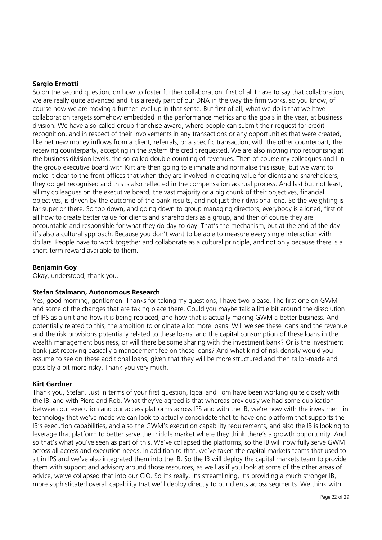#### **Sergio Ermotti**

So on the second question, on how to foster further collaboration, first of all I have to say that collaboration, we are really quite advanced and it is already part of our DNA in the way the firm works, so you know, of course now we are moving a further level up in that sense. But first of all, what we do is that we have collaboration targets somehow embedded in the performance metrics and the goals in the year, at business division. We have a so-called group franchise award, where people can submit their request for credit recognition, and in respect of their involvements in any transactions or any opportunities that were created, like net new money inflows from a client, referrals, or a specific transaction, with the other counterpart, the receiving counterparty, accepting in the system the credit requested. We are also moving into recognising at the business division levels, the so-called double counting of revenues. Then of course my colleagues and I in the group executive board with Kirt are then going to eliminate and normalise this issue, but we want to make it clear to the front offices that when they are involved in creating value for clients and shareholders, they do get recognised and this is also reflected in the compensation accrual process. And last but not least, all my colleagues on the executive board, the vast majority or a big chunk of their objectives, financial objectives, is driven by the outcome of the bank results, and not just their divisional one. So the weighting is far superior there. So top down, and going down to group managing directors, everybody is aligned, first of all how to create better value for clients and shareholders as a group, and then of course they are accountable and responsible for what they do day-to-day. That's the mechanism, but at the end of the day it's also a cultural approach. Because you don't want to be able to measure every single interaction with dollars. People have to work together and collaborate as a cultural principle, and not only because there is a short-term reward available to them.

#### **Benjamin Goy**

Okay, understood, thank you.

#### **Stefan Stalmann, Autonomous Research**

Yes, good morning, gentlemen. Thanks for taking my questions, I have two please. The first one on GWM and some of the changes that are taking place there. Could you maybe talk a little bit around the dissolution of IPS as a unit and how it is being replaced, and how that is actually making GWM a better business. And potentially related to this, the ambition to originate a lot more loans. Will we see these loans and the revenue and the risk provisions potentially related to these loans, and the capital consumption of these loans in the wealth management business, or will there be some sharing with the investment bank? Or is the investment bank just receiving basically a management fee on these loans? And what kind of risk density would you assume to see on these additional loans, given that they will be more structured and then tailor-made and possibly a bit more risky. Thank you very much.

#### **Kirt Gardner**

Thank you, Stefan. Just in terms of your first question, Iqbal and Tom have been working quite closely with the IB, and with Piero and Rob. What they've agreed is that whereas previously we had some duplication between our execution and our access platforms across IPS and with the IB, we're now with the investment in technology that we've made we can look to actually consolidate that to have one platform that supports the IB's execution capabilities, and also the GWM's execution capability requirements, and also the IB is looking to leverage that platform to better serve the middle market where they think there's a growth opportunity. And so that's what you've seen as part of this. We've collapsed the platforms, so the IB will now fully serve GWM across all access and execution needs. In addition to that, we've taken the capital markets teams that used to sit in IPS and we've also integrated them into the IB. So the IB will deploy the capital markets team to provide them with support and advisory around those resources, as well as if you look at some of the other areas of advice, we've collapsed that into our CIO. So it's really, it's streamlining, it's providing a much stronger IB, more sophisticated overall capability that we'll deploy directly to our clients across segments. We think with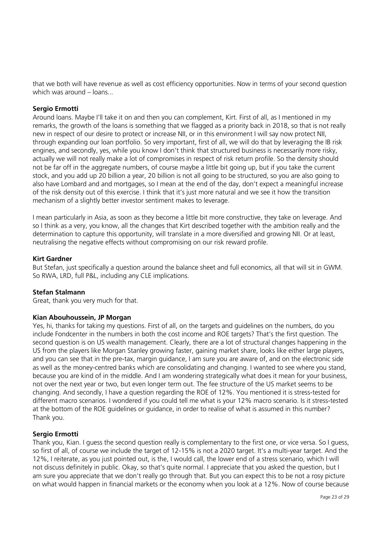that we both will have revenue as well as cost efficiency opportunities. Now in terms of your second question which was around – loans...

# **Sergio Ermotti**

Around loans. Maybe I'll take it on and then you can complement, Kirt. First of all, as I mentioned in my remarks, the growth of the loans is something that we flagged as a priority back in 2018, so that is not really new in respect of our desire to protect or increase NII, or in this environment I will say now protect NII, through expanding our loan portfolio. So very important, first of all, we will do that by leveraging the IB risk engines, and secondly, yes, while you know I don't think that structured business is necessarily more risky, actually we will not really make a lot of compromises in respect of risk return profile. So the density should not be far off in the aggregate numbers, of course maybe a little bit going up, but if you take the current stock, and you add up 20 billion a year, 20 billion is not all going to be structured, so you are also going to also have Lombard and and mortgages, so I mean at the end of the day, don't expect a meaningful increase of the risk density out of this exercise. I think that it's just more natural and we see it how the transition mechanism of a slightly better investor sentiment makes to leverage.

I mean particularly in Asia, as soon as they become a little bit more constructive, they take on leverage. And so I think as a very, you know, all the changes that Kirt described together with the ambition really and the determination to capture this opportunity, will translate in a more diversified and growing NII. Or at least, neutralising the negative effects without compromising on our risk reward profile.

#### **Kirt Gardner**

But Stefan, just specifically a question around the balance sheet and full economics, all that will sit in GWM. So RWA, LRD, full P&L, including any CLE implications.

#### **Stefan Stalmann**

Great, thank you very much for that.

#### **Kian Abouhoussein, JP Morgan**

Yes, hi, thanks for taking my questions. First of all, on the targets and guidelines on the numbers, do you include Fondcenter in the numbers in both the cost income and ROE targets? That's the first question. The second question is on US wealth management. Clearly, there are a lot of structural changes happening in the US from the players like Morgan Stanley growing faster, gaining market share, looks like either large players, and you can see that in the pre-tax, margin guidance, I am sure you are aware of, and on the electronic side as well as the money-centred banks which are consolidating and changing. I wanted to see where you stand, because you are kind of in the middle. And I am wondering strategically what does it mean for your business, not over the next year or two, but even longer term out. The fee structure of the US market seems to be changing. And secondly, I have a question regarding the ROE of 12%. You mentioned it is stress-tested for different macro scenarios. I wondered if you could tell me what is your 12% macro scenario. Is it stress-tested at the bottom of the ROE guidelines or guidance, in order to realise of what is assumed in this number? Thank you.

#### **Sergio Ermotti**

Thank you, Kian. I guess the second question really is complementary to the first one, or vice versa. So I guess, so first of all, of course we include the target of 12-15% is not a 2020 target. It's a multi-year target. And the 12%, I reiterate, as you just pointed out, is the, I would call, the lower end of a stress scenario, which I will not discuss definitely in public. Okay, so that's quite normal. I appreciate that you asked the question, but I am sure you appreciate that we don't really go through that. But you can expect this to be not a rosy picture on what would happen in financial markets or the economy when you look at a 12%. Now of course because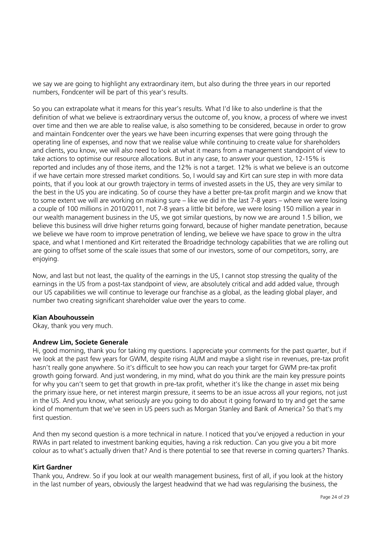we say we are going to highlight any extraordinary item, but also during the three years in our reported numbers, Fondcenter will be part of this year's results.

So you can extrapolate what it means for this year's results. What I'd like to also underline is that the definition of what we believe is extraordinary versus the outcome of, you know, a process of where we invest over time and then we are able to realise value, is also something to be considered, because in order to grow and maintain Fondcenter over the years we have been incurring expenses that were going through the operating line of expenses, and now that we realise value while continuing to create value for shareholders and clients, you know, we will also need to look at what it means from a management standpoint of view to take actions to optimise our resource allocations. But in any case, to answer your question, 12-15% is reported and includes any of those items, and the 12% is not a target. 12% is what we believe is an outcome if we have certain more stressed market conditions. So, I would say and Kirt can sure step in with more data points, that if you look at our growth trajectory in terms of invested assets in the US, they are very similar to the best in the US you are indicating. So of course they have a better pre-tax profit margin and we know that to some extent we will are working on making sure – like we did in the last 7-8 years – where we were losing a couple of 100 millions in 2010/2011, not 7-8 years a little bit before, we were losing 150 million a year in our wealth management business in the US, we got similar questions, by now we are around 1.5 billion, we believe this business will drive higher returns going forward, because of higher mandate penetration, because we believe we have room to improve penetration of lending, we believe we have space to grow in the ultra space, and what I mentioned and Kirt reiterated the Broadridge technology capabilities that we are rolling out are going to offset some of the scale issues that some of our investors, some of our competitors, sorry, are enjoying.

Now, and last but not least, the quality of the earnings in the US, I cannot stop stressing the quality of the earnings in the US from a post-tax standpoint of view, are absolutely critical and add added value, through our US capabilities we will continue to leverage our franchise as a global, as the leading global player, and number two creating significant shareholder value over the years to come.

#### **Kian Abouhoussein**

Okay, thank you very much.

#### **Andrew Lim, Societe Generale**

Hi, good morning, thank you for taking my questions. I appreciate your comments for the past quarter, but if we look at the past few years for GWM, despite rising AUM and maybe a slight rise in revenues, pre-tax profit hasn't really gone anywhere. So it's difficult to see how you can reach your target for GWM pre-tax profit growth going forward. And just wondering, in my mind, what do you think are the main key pressure points for why you can't seem to get that growth in pre-tax profit, whether it's like the change in asset mix being the primary issue here, or net interest margin pressure, it seems to be an issue across all your regions, not just in the US. And you know, what seriously are you going to do about it going forward to try and get the same kind of momentum that we've seen in US peers such as Morgan Stanley and Bank of America? So that's my first question.

And then my second question is a more technical in nature. I noticed that you've enjoyed a reduction in your RWAs in part related to investment banking equities, having a risk reduction. Can you give you a bit more colour as to what's actually driven that? And is there potential to see that reverse in coming quarters? Thanks.

#### **Kirt Gardner**

Thank you, Andrew. So if you look at our wealth management business, first of all, if you look at the history in the last number of years, obviously the largest headwind that we had was regularising the business, the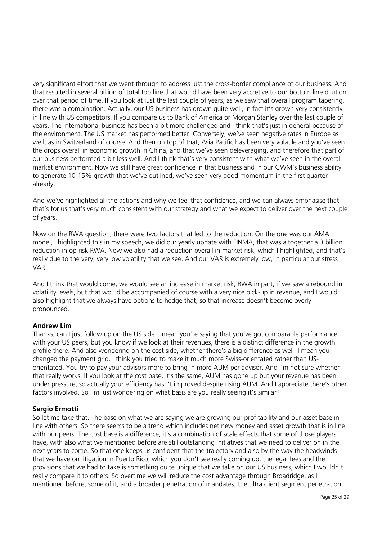very significant effort that we went through to address just the cross-border compliance of our business. And that resulted in several billion of total top line that would have been very accretive to our bottom line dilution over that period of time. If you look at just the last couple of years, as we saw that overall program tapering, there was a combination. Actually, our US business has grown quite well, in fact it's grown very consistently in line with US competitors. If you compare us to Bank of America or Morgan Stanley over the last couple of years. The international business has been a bit more challenged and I think that's just in general because of the environment. The US market has performed better. Conversely, we've seen negative rates in Europe as well, as in Switzerland of course. And then on top of that, Asia Pacific has been very volatile and you've seen the drops overall in economic growth in China, and that we've seen deleveraging, and therefore that part of our business performed a bit less well. And I think that's very consistent with what we've seen in the overall market environment. Now we still have great confidence in that business and in our GWM's business ability to generate 10-15% growth that we've outlined, we've seen very good momentum in the first quarter already.

And we've highlighted all the actions and why we feel that confidence, and we can always emphasise that that's for us that's very much consistent with our strategy and what we expect to deliver over the next couple of years.

Now on the RWA question, there were two factors that led to the reduction. On the one was our AMA model, I highlighted this in my speech, we did our yearly update with FINMA, that was altogether a 3 billion reduction in op risk RWA. Now we also had a reduction overall in market risk, which I highlighted, and that's really due to the very, very low volatility that we see. And our VAR is extremely low, in particular our stress VAR.

And I think that would come, we would see an increase in market risk, RWA in part, if we saw a rebound in volatility levels, but that would be accompanied of course with a very nice pick-up in revenue, and I would also highlight that we always have options to hedge that, so that increase doesn't become overly pronounced.

# **Andrew Lim**

Thanks, can I just follow up on the US side. I mean you're saying that you've got comparable performance with your US peers, but you know if we look at their revenues, there is a distinct difference in the growth profile there. And also wondering on the cost side, whether there's a big difference as well. I mean you changed the payment grid. I think you tried to make it much more Swiss-orientated rather than USorientated. You try to pay your advisors more to bring in more AUM per advisor. And I'm not sure whether that really works. If you look at the cost base, it's the same, AUM has gone up but your revenue has been under pressure, so actually your efficiency hasn't improved despite rising AUM. And I appreciate there's other factors involved. So I'm just wondering on what basis are you really seeing it's similar?

#### **Sergio Ermotti**

So let me take that. The base on what we are saying we are growing our profitability and our asset base in line with others. So there seems to be a trend which includes net new money and asset growth that is in line with our peers. The cost base is a difference, it's a combination of scale effects that some of those players have, with also what we mentioned before are still outstanding initiatives that we need to deliver on in the next years to come. So that one keeps us confident that the trajectory and also by the way the headwinds that we have on litigation in Puerto Rico, which you don't see really coming up, the legal fees and the provisions that we had to take is something quite unique that we take on our US business, which I wouldn't really compare it to others. So overtime we will reduce the cost advantage through Broadridge, as I mentioned before, some of it, and a broader penetration of mandates, the ultra client segment penetration,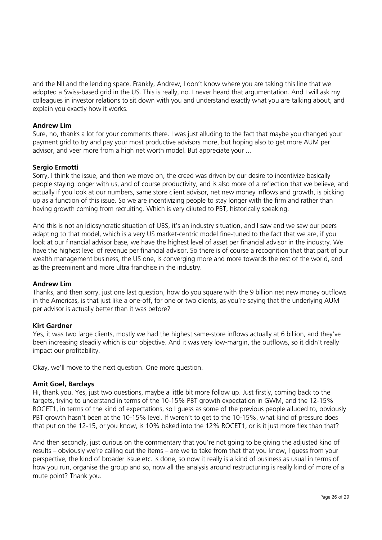and the NII and the lending space. Frankly, Andrew, I don't know where you are taking this line that we adopted a Swiss-based grid in the US. This is really, no. I never heard that argumentation. And I will ask my colleagues in investor relations to sit down with you and understand exactly what you are talking about, and explain you exactly how it works.

# **Andrew Lim**

Sure, no, thanks a lot for your comments there. I was just alluding to the fact that maybe you changed your payment grid to try and pay your most productive advisors more, but hoping also to get more AUM per advisor, and veer more from a high net worth model. But appreciate your ...

# **Sergio Ermotti**

Sorry, I think the issue, and then we move on, the creed was driven by our desire to incentivize basically people staying longer with us, and of course productivity, and is also more of a reflection that we believe, and actually if you look at our numbers, same store client advisor, net new money inflows and growth, is picking up as a function of this issue. So we are incentivizing people to stay longer with the firm and rather than having growth coming from recruiting. Which is very diluted to PBT, historically speaking.

And this is not an idiosyncratic situation of UBS, it's an industry situation, and I saw and we saw our peers adapting to that model, which is a very US market-centric model fine-tuned to the fact that we are, if you look at our financial advisor base, we have the highest level of asset per financial advisor in the industry. We have the highest level of revenue per financial advisor. So there is of course a recognition that that part of our wealth management business, the US one, is converging more and more towards the rest of the world, and as the preeminent and more ultra franchise in the industry.

#### **Andrew Lim**

Thanks, and then sorry, just one last question, how do you square with the 9 billion net new money outflows in the Americas, is that just like a one-off, for one or two clients, as you're saying that the underlying AUM per advisor is actually better than it was before?

#### **Kirt Gardner**

Yes, it was two large clients, mostly we had the highest same-store inflows actually at 6 billion, and they've been increasing steadily which is our objective. And it was very low-margin, the outflows, so it didn't really impact our profitability.

Okay, we'll move to the next question. One more question.

#### **Amit Goel, Barclays**

Hi, thank you. Yes, just two questions, maybe a little bit more follow up. Just firstly, coming back to the targets, trying to understand in terms of the 10-15% PBT growth expectation in GWM, and the 12-15% ROCET1, in terms of the kind of expectations, so I guess as some of the previous people alluded to, obviously PBT growth hasn't been at the 10-15% level. If weren't to get to the 10-15%, what kind of pressure does that put on the 12-15, or you know, is 10% baked into the 12% ROCET1, or is it just more flex than that?

And then secondly, just curious on the commentary that you're not going to be giving the adjusted kind of results – obviously we're calling out the items – are we to take from that that you know, I guess from your perspective, the kind of broader issue etc. is done, so now it really is a kind of business as usual in terms of how you run, organise the group and so, now all the analysis around restructuring is really kind of more of a mute point? Thank you.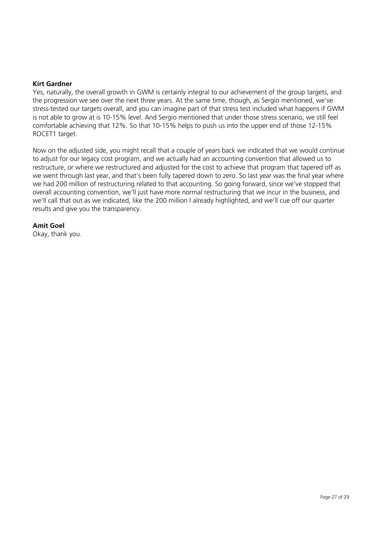#### **Kirt Gardner**

Yes, naturally, the overall growth in GWM is certainly integral to our achievement of the group targets, and the progression we see over the next three years. At the same time, though, as Sergio mentioned, we've stress-tested our targets overall, and you can imagine part of that stress test included what happens if GWM is not able to grow at is 10-15% level. And Sergio mentioned that under those stress scenario, we still feel comfortable achieving that 12%. So that 10-15% helps to push us into the upper end of those 12-15% ROCET1 target.

Now on the adjusted side, you might recall that a couple of years back we indicated that we would continue to adjust for our legacy cost program, and we actually had an accounting convention that allowed us to restructure, or where we restructured and adjusted for the cost to achieve that program that tapered off as we went through last year, and that's been fully tapered down to zero. So last year was the final year where we had 200 million of restructuring related to that accounting. So going forward, since we've stopped that overall accounting convention, we'll just have more normal restructuring that we incur in the business, and we'll call that out as we indicated, like the 200 million I already highlighted, and we'll cue off our quarter results and give you the transparency.

# **Amit Goel**

Okay, thank you.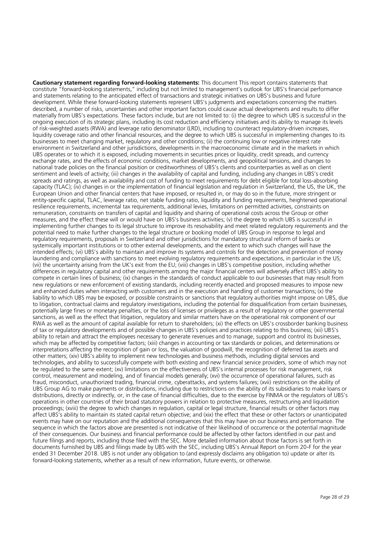**Cautionary statement regarding forward-looking statements:** This document This report contains statements that constitute "forward-looking statements," including but not limited to management's outlook for UBS's financial performance and statements relating to the anticipated effect of transactions and strategic initiatives on UBS's business and future development. While these forward-looking statements represent UBS's judgments and expectations concerning the matters described, a number of risks, uncertainties and other important factors could cause actual developments and results to differ materially from UBS's expectations. These factors include, but are not limited to: (i) the degree to which UBS is successful in the ongoing execution of its strategic plans, including its cost reduction and efficiency initiatives and its ability to manage its levels of risk-weighted assets (RWA) and leverage ratio denominator (LRD), including to counteract regulatory-driven increases, liquidity coverage ratio and other financial resources, and the degree to which UBS is successful in implementing changes to its businesses to meet changing market, regulatory and other conditions; (ii) the continuing low or negative interest rate environment in Switzerland and other jurisdictions, developments in the macroeconomic climate and in the markets in which UBS operates or to which it is exposed, including movements in securities prices or liquidity, credit spreads, and currency exchange rates, and the effects of economic conditions, market developments, and geopolitical tensions, and changes to national trade policies on the financial position or creditworthiness of UBS's clients and counterparties as well as on client sentiment and levels of activity; (iii) changes in the availability of capital and funding, including any changes in UBS's credit spreads and ratings, as well as availability and cost of funding to meet requirements for debt eligible for total loss-absorbing capacity (TLAC); (iv) changes in or the implementation of financial legislation and regulation in Switzerland, the US, the UK, the European Union and other financial centers that have imposed, or resulted in, or may do so in the future, more stringent or entity-specific capital, TLAC, leverage ratio, net stable funding ratio, liquidity and funding requirements, heightened operational resilience requirements, incremental tax requirements, additional levies, limitations on permitted activities, constraints on remuneration, constraints on transfers of capital and liquidity and sharing of operational costs across the Group or other measures, and the effect these will or would have on UBS's business activities; (v) the degree to which UBS is successful in implementing further changes to its legal structure to improve its resolvability and meet related regulatory requirements and the potential need to make further changes to the legal structure or booking model of UBS Group in response to legal and regulatory requirements, proposals in Switzerland and other jurisdictions for mandatory structural reform of banks or systemically important institutions or to other external developments, and the extent to which such changes will have the intended effects; (vi) UBS's ability to maintain and improve its systems and controls for the detection and prevention of money laundering and compliance with sanctions to meet evolving regulatory requirements and expectations, in particular in the US; (vii) the uncertainty arising from the UK's exit from the EU; (viii) changes in UBS's competitive position, including whether differences in regulatory capital and other requirements among the major financial centers will adversely affect UBS's ability to compete in certain lines of business; (ix) changes in the standards of conduct applicable to our businesses that may result from new regulations or new enforcement of existing standards, including recently enacted and proposed measures to impose new and enhanced duties when interacting with customers and in the execution and handling of customer transactions; (x) the liability to which UBS may be exposed, or possible constraints or sanctions that regulatory authorities might impose on UBS, due to litigation, contractual claims and regulatory investigations, including the potential for disqualification from certain businesses, potentially large fines or monetary penalties, or the loss of licenses or privileges as a result of regulatory or other governmental sanctions, as well as the effect that litigation, regulatory and similar matters have on the operational risk component of our RWA as well as the amount of capital available for return to shareholders; (xi) the effects on UBS's crossborder banking business of tax or regulatory developments and of possible changes in UBS's policies and practices relating to this business; (xii) UBS's ability to retain and attract the employees necessary to generate revenues and to manage, support and control its businesses, which may be affected by competitive factors; (xiii) changes in accounting or tax standards or policies, and determinations or interpretations affecting the recognition of gain or loss, the valuation of goodwill, the recognition of deferred tax assets and other matters; (xiv) UBS's ability to implement new technologies and business methods, including digital services and technologies, and ability to successfully compete with both existing and new financial service providers, some of which may not be regulated to the same extent; (xv) limitations on the effectiveness of UBS's internal processes for risk management, risk control, measurement and modeling, and of financial models generally; (xvi) the occurrence of operational failures, such as fraud, misconduct, unauthorized trading, financial crime, cyberattacks, and systems failures; (xvii) restrictions on the ability of UBS Group AG to make payments or distributions, including due to restrictions on the ability of its subsidiaries to make loans or distributions, directly or indirectly, or, in the case of financial difficulties, due to the exercise by FINMA or the regulators of UBS's operations in other countries of their broad statutory powers in relation to protective measures, restructuring and liquidation proceedings; (xviii) the degree to which changes in regulation, capital or legal structure, financial results or other factors may affect UBS's ability to maintain its stated capital return objective; and (xix) the effect that these or other factors or unanticipated events may have on our reputation and the additional consequences that this may have on our business and performance. The sequence in which the factors above are presented is not indicative of their likelihood of occurrence or the potential magnitude of their consequences. Our business and financial performance could be affected by other factors identified in our past and future filings and reports, including those filed with the SEC. More detailed information about those factors is set forth in documents furnished by UBS and filings made by UBS with the SEC, including UBS's Annual Report on Form 20-F for the year ended 31 December 2018. UBS is not under any obligation to (and expressly disclaims any obligation to) update or alter its forward-looking statements, whether as a result of new information, future events, or otherwise.